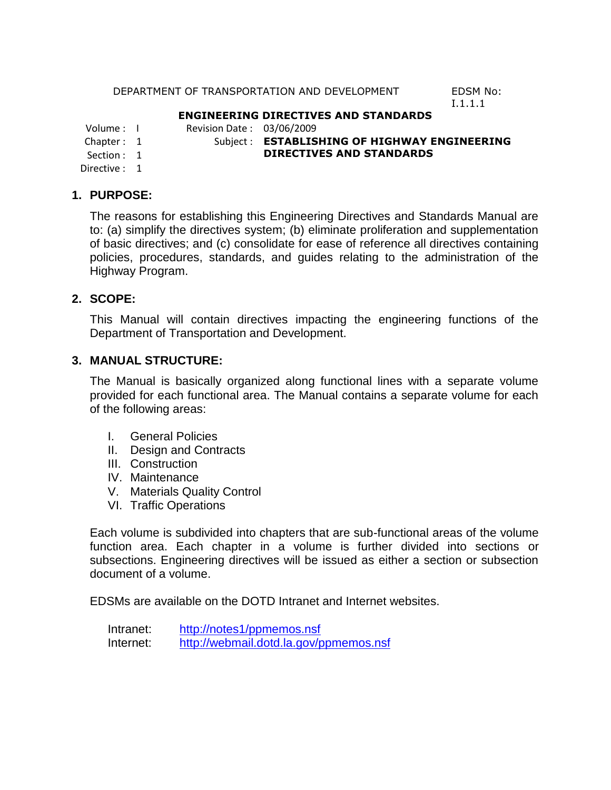#### DEPARTMENT OF TRANSPORTATION AND DEVELOPMENT EDSM No:

I.1.1.1

## **ENGINEERING DIRECTIVES AND STANDARDS**

Volume : I Revision Date : 03/06/2009<br>Chapter : 1 Subject : **ESTABLIS** 

- 
- 
- Subject : **ESTABLISHING OF HIGHWAY ENGINEERING** Section : 1 **DIRECTIVES AND STANDARDS**
- Directive : 1

## **1. PURPOSE:**

The reasons for establishing this Engineering Directives and Standards Manual are to: (a) simplify the directives system; (b) eliminate proliferation and supplementation of basic directives; and (c) consolidate for ease of reference all directives containing policies, procedures, standards, and guides relating to the administration of the Highway Program.

## **2. SCOPE:**

This Manual will contain directives impacting the engineering functions of the Department of Transportation and Development.

## **3. MANUAL STRUCTURE:**

The Manual is basically organized along functional lines with a separate volume provided for each functional area. The Manual contains a separate volume for each of the following areas:

- I. General Policies
- II. Design and Contracts
- III. Construction
- IV. Maintenance
- V. Materials Quality Control
- VI. Traffic Operations

Each volume is subdivided into chapters that are sub-functional areas of the volume function area. Each chapter in a volume is further divided into sections or subsections. Engineering directives will be issued as either a section or subsection document of a volume.

EDSMs are available on the DOTD Intranet and Internet websites.

| Intranet: | http://notes1/ppmemos.nsf              |
|-----------|----------------------------------------|
| Internet: | http://webmail.dotd.la.gov/ppmemos.nsf |